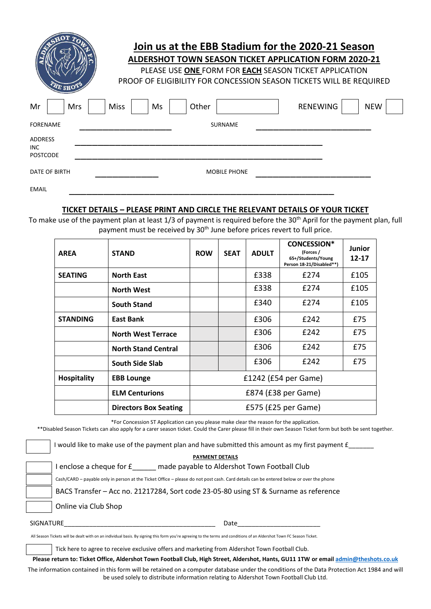| AE SHOT                                         |     | Join us at the EBB Stadium for the 2020-21 Season<br><b>ALDERSHOT TOWN SEASON TICKET APPLICATION FORM 2020-21</b><br>PLEASE USE ONE FORM FOR EACH SEASON TICKET APPLICATION<br>PROOF OF ELIGIBILITY FOR CONCESSION SEASON TICKETS WILL BE REQUIRED |  |    |  |       |                     |  |                 |  |            |  |
|-------------------------------------------------|-----|----------------------------------------------------------------------------------------------------------------------------------------------------------------------------------------------------------------------------------------------------|--|----|--|-------|---------------------|--|-----------------|--|------------|--|
| Mr                                              | Mrs | <b>Miss</b>                                                                                                                                                                                                                                        |  | Ms |  | Other |                     |  | <b>RENEWING</b> |  | <b>NEW</b> |  |
| <b>FORENAME</b>                                 |     |                                                                                                                                                                                                                                                    |  |    |  |       | <b>SURNAME</b>      |  |                 |  |            |  |
| <b>ADDRESS</b><br><b>INC</b><br><b>POSTCODE</b> |     |                                                                                                                                                                                                                                                    |  |    |  |       |                     |  |                 |  |            |  |
| DATE OF BIRTH                                   |     |                                                                                                                                                                                                                                                    |  |    |  |       | <b>MOBILE PHONE</b> |  |                 |  |            |  |
| <b>EMAIL</b>                                    |     |                                                                                                                                                                                                                                                    |  |    |  |       |                     |  |                 |  |            |  |

## **TICKET DETAILS – PLEASE PRINT AND CIRCLE THE RELEVANT DETAILS OF YOUR TICKET**

To make use of the payment plan at least 1/3 of payment is required before the 30<sup>th</sup> April for the payment plan, full payment must be received by 30<sup>th</sup> June before prices revert to full price.

| <b>AREA</b>        | <b>STAND</b>                 | <b>ROW</b>           | <b>SEAT</b> | <b>ADULT</b> | <b>CONCESSION*</b><br>(Forces /<br>65+/Students/Young<br>Person 18-21/Disabled**) | Junior<br>12-17 |
|--------------------|------------------------------|----------------------|-------------|--------------|-----------------------------------------------------------------------------------|-----------------|
| <b>SEATING</b>     | <b>North East</b>            |                      |             | £338         | £274                                                                              | £105            |
|                    | <b>North West</b>            |                      |             | £338         | £274                                                                              | £105            |
|                    | <b>South Stand</b>           |                      |             | £340         | £274                                                                              | £105            |
| <b>STANDING</b>    | East Bank                    |                      |             | £306         | £242                                                                              | £75             |
|                    | <b>North West Terrace</b>    |                      |             | £306         | £242                                                                              | £75             |
|                    | <b>North Stand Central</b>   |                      |             | £306         | £242                                                                              | £75             |
|                    | <b>South Side Slab</b>       |                      |             | £306         | £242                                                                              | £75             |
| <b>Hospitality</b> | <b>EBB Lounge</b>            | £1242 (£54 per Game) |             |              |                                                                                   |                 |
|                    | <b>ELM Centurions</b>        | £874 (£38 per Game)  |             |              |                                                                                   |                 |
|                    | <b>Directors Box Seating</b> | £575 (£25 per Game)  |             |              |                                                                                   |                 |

\*For Concession ST Application can you please make clear the reason for the application.

\*\*Disabled Season Tickets can also apply for a carer season ticket. Could the Carer please fill in their own Season Ticket form but both be sent together.

I would like to make use of the payment plan and have submitted this amount as my first payment £

**PAYMENT DETAILS** 

I enclose a cheque for £\_\_\_\_\_\_ made payable to Aldershot Town Football Club

Cash/CARD – payable only in person at the Ticket Office – please do not post cash. Card details can be entered below or over the phone

BACS Transfer – Acc no. 21217284, Sort code 23-05-80 using ST & Surname as reference

Online via Club Shop

SIGNATURE PRESERVE A LOCAL SERVER AND RESERVE A LOCAL SERVER AND RESERVE A LOCAL SERVER AND RESERVE

All Season Tickets will be dealt with on an individual basis. By signing this form you're agreeing to the terms and conditions of an Aldershot Town FC Season Ticket.

Tick here to agree to receive exclusive offers and marketing from Aldershot Town Football Club.

**Please return to: Ticket Office, Aldershot Town Football Club, High Street, Aldershot, Hants, GU11 1TW or emai[l admin@theshots.co.uk](mailto:admin@theshots.co.uk)**

The information contained in this form will be retained on a computer database under the conditions of the Data Protection Act 1984 and will be used solely to distribute information relating to Aldershot Town Football Club Ltd.